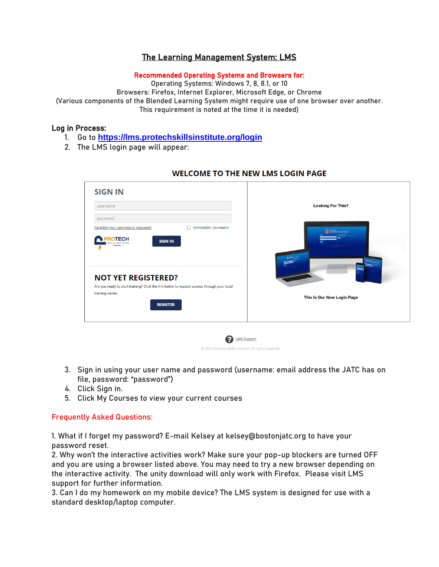# The Learning Management System: LMS

#### Recommended Operating Systems and Browsers for:

Operating Systems: Windows 7, 8, 8.1, or 10 Browsers: Firefox, Internet Explorer, Microsoft Edge, or Chrome (Various components of the Blended Learning System might require use of one browser over another. This requirement is noted at the time it is needed)

## Log in Process:

- 1. Go to **[https://lms.protechskillsinstitute.org/login](https://lms.protechskillsinstitute.org/login/index.php)**
- 2. The LMS login page will appear:

| username                                                                                                                                                        |                   | <b>Looking For This?</b>   |
|-----------------------------------------------------------------------------------------------------------------------------------------------------------------|-------------------|----------------------------|
| password<br>Forgotten your username or password?<br><b>ROTECH</b><br><b>SIGN IN</b><br><b>SINSTITUTE</b>                                                        | remember username | <b>B</b> SUATO GEARMAINE   |
| <b>NOT YET REGISTERED?</b><br>Are you ready to start training? Click the link below to request access through your local<br>training center.<br><b>REGISTER</b> |                   | This Is Our New Login Page |

**P** LMS Support @ 2021 Protech Skills Institute. All rights reserved.

#### **WELCOME TO THE NEW LMS LOGIN PAGE**

- 3. Sign in using your user name and password (username: email address the JATC has on file, password: "password")
- 4. Click Sign in.
- 5. Click My Courses to view your current courses

## Frequently Asked Questions:

1. What if I forget my password? E-mail Kelsey at kelsey@bostonjatc.org to have your password reset.

2. Why won't the interactive activities work? Make sure your pop-up blockers are turned OFF and you are using a browser listed above. You may need to try a new browser depending on the interactive activity. The unity download will only work with Firefox. Please visit LMS support for further information.

3. Can I do my homework on my mobile device? The LMS system is designed for use with a standard desktop/laptop computer.